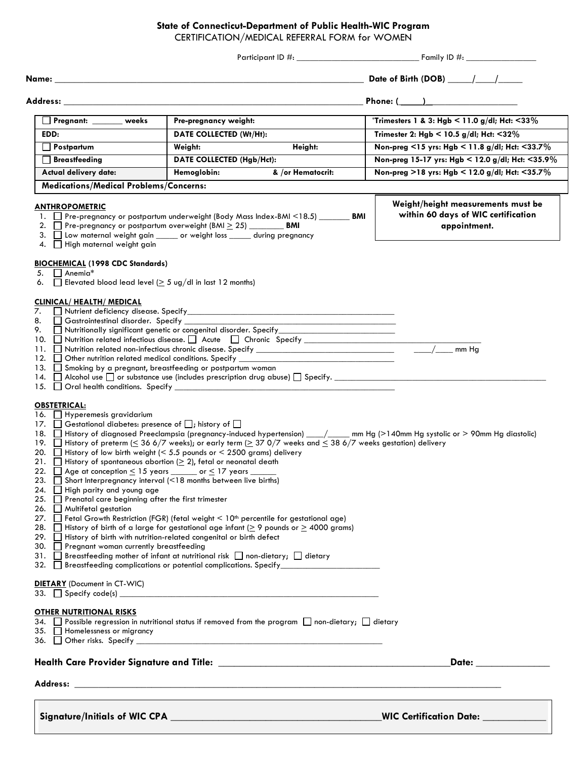## **State of Connecticut-Department of Public Health-WIC Program**

CERTIFICATION/MEDICAL REFERRAL FORM for WOMEN

| Name:<br>Address:<br>Pregnant: ______ weeks<br>Pre-pregnancy weight:<br>EDD:<br>DATE COLLECTED (Wt/Ht):<br>Weight:<br>$\Box$ Postpartum<br>DATE COLLECTED (Hgb/Hct):<br>$\Box$ Breastfeeding<br>Hemoglobin:<br>Actual delivery date:<br><b>Medications/Medical Problems/Concerns:</b><br><b>ANTHROPOMETRIC</b><br>1. Pre-pregnancy or postpartum underweight (Body Mass Index-BMI <18.5) _______ BMI<br>2. $\Box$ Pre-pregnancy or postpartum overweight (BMI $\geq$ 25) _________ BMI<br>3. Uow maternal weight gain ______ or weight loss ______ during pregnancy<br>4. High maternal weight gain<br><b>BIOCHEMICAL (1998 CDC Standards)</b><br>$\Box$ Anemia*<br>5.<br>Elevated blood lead level ( $\geq$ 5 ug/dl in last 12 months)<br>6.<br><b>CLINICAL/ HEALTH/ MEDICAL</b><br>7.<br>8. Gastrointestinal disorder. Specify _______________<br>Nutritionally significant genetic or congenital disorder. Specify_<br>9.<br>10. Nutrition related infectious disease. Acute C Chronic Specify ______________<br>12. Other nutrition related medical conditions. Specify _<br>13. Smoking by a pregnant, breastfeeding or postpartum woman<br>14. $\Box$ Alcohol use $\Box$ or substance use (includes prescription drug abuse) $\Box$ Specify.                                                                                                                             | Height:<br>& /or Hematocrit: | Phone: $($<br><i>*Trimesters</i> 1 & 3: Hgb < 11.0 g/dl; Hct: <33%<br>Trimester 2: Hgb < 10.5 g/dl; Hct: $<$ 32%<br>Non-preg <15 yrs: Hgb < 11.8 g/dl; Hct: <33.7%<br>Non-preg 15-17 yrs: Hgb < 12.0 g/dl; Hct: <35.9%<br>Non-preg >18 yrs: Hgb < 12.0 g/dl; Hct: <35.7%<br>Weight/height measurements must be<br>within 60 days of WIC certification<br>appointment.<br>mm Hg |
|--------------------------------------------------------------------------------------------------------------------------------------------------------------------------------------------------------------------------------------------------------------------------------------------------------------------------------------------------------------------------------------------------------------------------------------------------------------------------------------------------------------------------------------------------------------------------------------------------------------------------------------------------------------------------------------------------------------------------------------------------------------------------------------------------------------------------------------------------------------------------------------------------------------------------------------------------------------------------------------------------------------------------------------------------------------------------------------------------------------------------------------------------------------------------------------------------------------------------------------------------------------------------------------------------------------------------------------------------------------------------------|------------------------------|--------------------------------------------------------------------------------------------------------------------------------------------------------------------------------------------------------------------------------------------------------------------------------------------------------------------------------------------------------------------------------|
|                                                                                                                                                                                                                                                                                                                                                                                                                                                                                                                                                                                                                                                                                                                                                                                                                                                                                                                                                                                                                                                                                                                                                                                                                                                                                                                                                                                |                              |                                                                                                                                                                                                                                                                                                                                                                                |
|                                                                                                                                                                                                                                                                                                                                                                                                                                                                                                                                                                                                                                                                                                                                                                                                                                                                                                                                                                                                                                                                                                                                                                                                                                                                                                                                                                                |                              |                                                                                                                                                                                                                                                                                                                                                                                |
|                                                                                                                                                                                                                                                                                                                                                                                                                                                                                                                                                                                                                                                                                                                                                                                                                                                                                                                                                                                                                                                                                                                                                                                                                                                                                                                                                                                |                              |                                                                                                                                                                                                                                                                                                                                                                                |
|                                                                                                                                                                                                                                                                                                                                                                                                                                                                                                                                                                                                                                                                                                                                                                                                                                                                                                                                                                                                                                                                                                                                                                                                                                                                                                                                                                                |                              |                                                                                                                                                                                                                                                                                                                                                                                |
|                                                                                                                                                                                                                                                                                                                                                                                                                                                                                                                                                                                                                                                                                                                                                                                                                                                                                                                                                                                                                                                                                                                                                                                                                                                                                                                                                                                |                              |                                                                                                                                                                                                                                                                                                                                                                                |
|                                                                                                                                                                                                                                                                                                                                                                                                                                                                                                                                                                                                                                                                                                                                                                                                                                                                                                                                                                                                                                                                                                                                                                                                                                                                                                                                                                                |                              |                                                                                                                                                                                                                                                                                                                                                                                |
|                                                                                                                                                                                                                                                                                                                                                                                                                                                                                                                                                                                                                                                                                                                                                                                                                                                                                                                                                                                                                                                                                                                                                                                                                                                                                                                                                                                |                              |                                                                                                                                                                                                                                                                                                                                                                                |
|                                                                                                                                                                                                                                                                                                                                                                                                                                                                                                                                                                                                                                                                                                                                                                                                                                                                                                                                                                                                                                                                                                                                                                                                                                                                                                                                                                                |                              |                                                                                                                                                                                                                                                                                                                                                                                |
|                                                                                                                                                                                                                                                                                                                                                                                                                                                                                                                                                                                                                                                                                                                                                                                                                                                                                                                                                                                                                                                                                                                                                                                                                                                                                                                                                                                |                              |                                                                                                                                                                                                                                                                                                                                                                                |
|                                                                                                                                                                                                                                                                                                                                                                                                                                                                                                                                                                                                                                                                                                                                                                                                                                                                                                                                                                                                                                                                                                                                                                                                                                                                                                                                                                                |                              |                                                                                                                                                                                                                                                                                                                                                                                |
|                                                                                                                                                                                                                                                                                                                                                                                                                                                                                                                                                                                                                                                                                                                                                                                                                                                                                                                                                                                                                                                                                                                                                                                                                                                                                                                                                                                |                              |                                                                                                                                                                                                                                                                                                                                                                                |
| <b>OBSTETRICAL:</b><br>16. Hyperemesis gravidarium<br>17. Gestational diabetes: presence of D; history of D<br>18. ■ History of diagnosed Preeclampsia (pregnancy-induced hypertension) __/___ mm Hg (>140mm Hg systolic or > 90mm Hg diastolic)<br>19. History of preterm ( $\leq 366/7$ weeks); or early term ( $\geq 370/7$ weeks and $\leq 386/7$ weeks gestation) delivery<br>20. $\Box$ History of low birth weight (< 5.5 pounds or < 2500 grams) delivery<br>21. History of spontaneous abortion ( $\geq$ 2), fetal or neonatal death<br>22. $\Box$ Age at conception $\leq$ 15 years ______ or $\leq$ 17 years _<br>23. Short Interpregnancy interval (<18 months between live births)<br>24. $\Box$ High parity and young age<br>25. Prenatal care beginning after the first trimester<br>26. Multifetal gestation<br>27. □ Fetal Growth Restriction (FGR) (fetal weight < 10 <sup>th</sup> percentile for gestational age)<br>28. History of birth of a large for gestational age infant ( $\geq$ 9 pounds or $\geq$ 4000 grams)<br>29. History of birth with nutrition-related congenital or birth defect<br>30. Pregnant woman currently breastfeeding<br>31. Breastfeeding mother of infant at nutritional risk non-dietary; dietary<br>32. Breastfeeding complications or potential complications. Specify______________<br><b>DIETARY</b> (Document in CT-WIC) |                              |                                                                                                                                                                                                                                                                                                                                                                                |
| <b>OTHER NUTRITIONAL RISKS</b><br>34. $\Box$ Possible regression in nutritional status if removed from the program $\Box$ non-dietary; $\Box$ dietary<br>35. Homelessness or migrancy                                                                                                                                                                                                                                                                                                                                                                                                                                                                                                                                                                                                                                                                                                                                                                                                                                                                                                                                                                                                                                                                                                                                                                                          |                              |                                                                                                                                                                                                                                                                                                                                                                                |
|                                                                                                                                                                                                                                                                                                                                                                                                                                                                                                                                                                                                                                                                                                                                                                                                                                                                                                                                                                                                                                                                                                                                                                                                                                                                                                                                                                                |                              | Date: ________________                                                                                                                                                                                                                                                                                                                                                         |
|                                                                                                                                                                                                                                                                                                                                                                                                                                                                                                                                                                                                                                                                                                                                                                                                                                                                                                                                                                                                                                                                                                                                                                                                                                                                                                                                                                                |                              |                                                                                                                                                                                                                                                                                                                                                                                |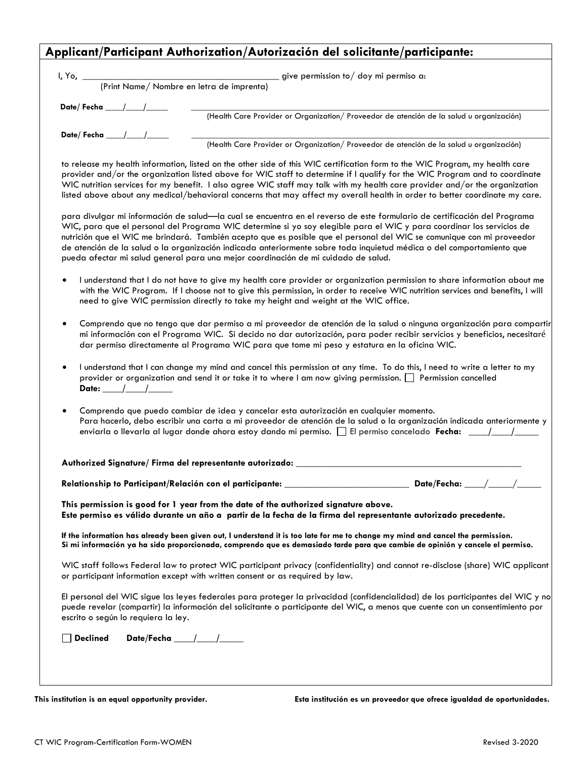# **Applicant/Participant Authorization/Autorización del solicitante/participante:**

| (Print Name/Nombre en letra de imprenta) | give permission to/doy mi permiso a:                                                     |
|------------------------------------------|------------------------------------------------------------------------------------------|
|                                          | (Health Care Provider or Organization/ Proveedor de atención de la salud u organización) |
| Date/Fecha / /                           | (Health Care Provider or Organization/ Proveedor de atención de la salud u organización) |

to release my health information, listed on the other side of this WIC certification form to the WIC Program, my health care provider and/or the organization listed above for WIC staff to determine if I qualify for the WIC Program and to coordinate WIC nutrition services for my benefit. I also agree WIC staff may talk with my health care provider and/or the organization listed above about any medical/behavioral concerns that may affect my overall health in order to better coordinate my care.

para divulgar mi información de salud—la cual se encuentra en el reverso de este formulario de certificación del Programa WIC, para que el personal del Programa WIC determine si yo soy elegible para el WIC y para coordinar los servicios de nutrición que el WIC me brindará. También acepto que es posible que el personal del WIC se comunique con mi proveedor de atención de la salud o la organización indicada anteriormente sobre toda inquietud médica o del comportamiento que pueda afectar mi salud general para una mejor coordinación de mi cuidado de salud.

- I understand that I do not have to give my health care provider or organization permission to share information about me with the WIC Program. If I choose not to give this permission, in order to receive WIC nutrition services and benefits, I will need to give WIC permission directly to take my height and weight at the WIC office.
- Comprendo que no tengo que dar permiso a mi proveedor de atención de la salud o ninguna organización para compartir mi información con el Programa WIC. Si decido no dar autorización, para poder recibir servicios y beneficios, necesitaré dar permiso directamente al Programa WIC para que tome mi peso y estatura en la oficina WIC.
- I understand that I can change my mind and cancel this permission at any time. To do this, I need to write a letter to my provider or organization and send it or take it to where  $\lfloor$  am now giving permission. Permission cancelled **Date: \_\_\_\_/\_\_\_\_/\_\_\_\_\_**
- Comprendo que puedo cambiar de idea y cancelar esta autorización en cualquier momento. Para hacerlo, debo escribir una carta a mi proveedor de atención de la salud o la organización indicada anteriormente y enviarla o llevarla al lugar donde ahora estoy dando mi permiso. El permiso cancelado **Fecha: \_\_\_\_/\_\_\_\_/\_\_\_\_\_**

### **Authorized Signature/ Firma del representante autorizado:** \_\_\_\_\_\_\_\_\_\_\_\_\_\_\_\_\_\_\_\_\_\_\_\_\_\_\_\_\_\_\_\_\_\_\_\_\_\_\_\_\_\_\_\_\_\_\_

**Relationship to Participant/Relación con el participante:** \_\_\_\_\_\_\_\_\_\_\_\_\_\_\_\_\_\_\_\_\_\_\_\_\_\_ **Date/Fecha:** \_\_\_\_/\_\_\_\_\_/\_\_\_\_\_

**This permission is good for 1 year from the date of the authorized signature above. Este permiso es válido durante un año a partir de la fecha de la firma del representante autorizado precedente.**

**If the information has already been given out, I understand it is too late for me to change my mind and cancel the permission. Si mi información ya ha sido proporcionada, comprendo que es demasiado tarde para que cambie de opinión y cancele el permiso.**

WIC staff follows Federal law to protect WIC participant privacy (confidentiality) and cannot re-disclose (share) WIC applicant or participant information except with written consent or as required by law.

El personal del WIC sigue las leyes federales para proteger la privacidad (confidencialidad) de los participantes del WIC y no puede revelar (compartir) la información del solicitante o participante del WIC, a menos que cuente con un consentimiento por escrito o según lo requiera la ley.

**Declined Date/Fecha \_\_\_\_/\_\_\_\_/\_\_\_\_\_**

**This institution is an equal opportunity provider. Esta institución es un proveedor que ofrece igualdad de oportunidades.**